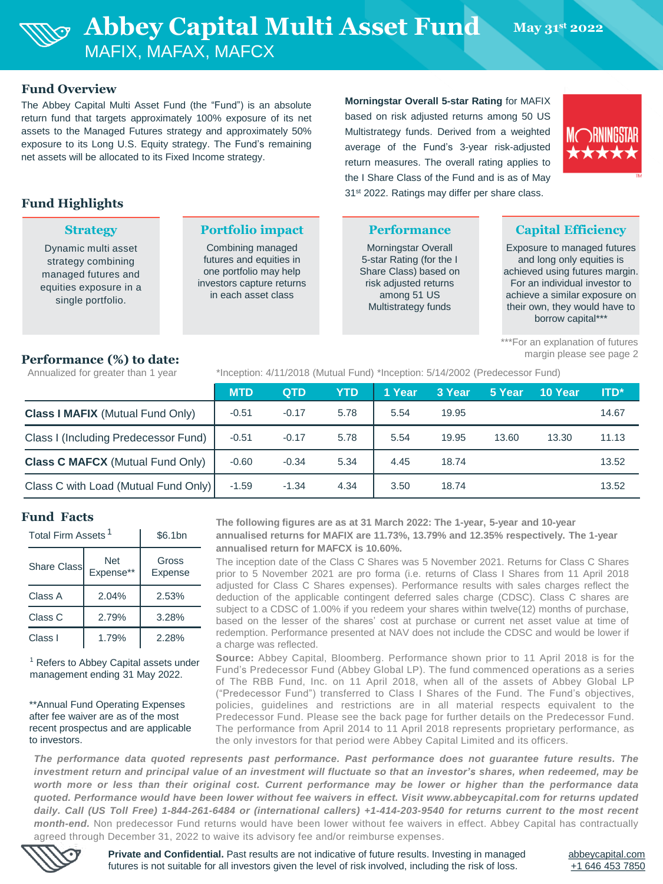

### **Fund Overview**

The Abbey Capital Multi Asset Fund (the "Fund") is an absolute return fund that targets approximately 100% exposure of its net assets to the Managed Futures strategy and approximately 50% exposure to its Long U.S. Equity strategy. The Fund's remaining net assets will be allocated to its Fixed Income strategy.

## **Fund Highlights**

|  |  | <b>Strategy</b> |
|--|--|-----------------|

Dynamic multi asset strategy combining managed futures and equities exposure in a single portfolio.

#### **Portfolio impact**

Combining managed futures and equities in one portfolio may help investors capture returns in each asset class

**Morningstar Overall 5-star Rating** for MAFIX based on risk adjusted returns among 50 US Multistrategy funds. Derived from a weighted average of the Fund's 3-year risk-adjusted return measures. The overall rating applies to the I Share Class of the Fund and is as of May 31<sup>st</sup> 2022. Ratings may differ per share class.



#### **Performance**

Morningstar Overall 5-star Rating (for the I Share Class) based on risk adjusted returns among 51 US Multistrategy funds

## **Capital Efficiency**

Exposure to managed futures and long only equities is achieved using futures margin. For an individual investor to achieve a similar exposure on their own, they would have to borrow capital\*\*\*

\*\*\*For an explanation of futures margin please see page 2

### **Performance (%) to date:**

Annualized for greater than 1 year \*Inception: 4/11/2018 (Mutual Fund) \*Inception: 5/14/2002 (Predecessor Fund)

|                                         | <b>MTD</b> | <b>QTD</b> | <b>YTD</b> | 1 Year | 3 Year | 5 Year | 10 Year | <b>ITD*</b> |  |
|-----------------------------------------|------------|------------|------------|--------|--------|--------|---------|-------------|--|
| <b>Class I MAFIX (Mutual Fund Only)</b> | $-0.51$    | $-0.17$    | 5.78       | 5.54   | 19.95  |        |         | 14.67       |  |
| Class I (Including Predecessor Fund)    | $-0.51$    | $-0.17$    | 5.78       | 5.54   | 19.95  | 13.60  | 13.30   | 11.13       |  |
| <b>Class C MAFCX (Mutual Fund Only)</b> | $-0.60$    | $-0.34$    | 5.34       | 4.45   | 18.74  |        |         | 13.52       |  |
| Class C with Load (Mutual Fund Only)    | $-1.59$    | $-1.34$    | 4.34       | 3.50   | 18.74  |        |         | 13.52       |  |

#### **Fund Facts**

| Total Firm Assets <sup>1</sup> | \$6.1bn          |                  |  |
|--------------------------------|------------------|------------------|--|
| <b>Share Classl</b>            | Net<br>Expense** | Gross<br>Expense |  |
| Class A                        | 2.04%            | 2.53%            |  |
| Class C                        | 2.79%            | 3.28%            |  |
| Class I                        | 1.79%            | 2.28%            |  |

<sup>1</sup> Refers to Abbey Capital assets under management ending 31 May 2022.

\*\*Annual Fund Operating Expenses after fee waiver are as of the most recent prospectus and are applicable to investors.

**The following figures are as at 31 March 2022: The 1-year, 5-year and 10-year annualised returns for MAFIX are 11.73%, 13.79% and 12.35% respectively. The 1-year annualised return for MAFCX is 10.60%.** 

The inception date of the Class C Shares was 5 November 2021. Returns for Class C Shares prior to 5 November 2021 are pro forma (i.e. returns of Class I Shares from 11 April 2018 adjusted for Class C Shares expenses). Performance results with sales charges reflect the deduction of the applicable contingent deferred sales charge (CDSC). Class C shares are subject to a CDSC of 1.00% if you redeem your shares within twelve(12) months of purchase, based on the lesser of the shares' cost at purchase or current net asset value at time of redemption. Performance presented at NAV does not include the CDSC and would be lower if a charge was reflected.

**Source:** Abbey Capital, Bloomberg. Performance shown prior to 11 April 2018 is for the Fund's Predecessor Fund (Abbey Global LP). The fund commenced operations as a series of The RBB Fund, Inc. on 11 April 2018, when all of the assets of Abbey Global LP ("Predecessor Fund") transferred to Class I Shares of the Fund. The Fund's objectives, policies, guidelines and restrictions are in all material respects equivalent to the Predecessor Fund. Please see the back page for further details on the Predecessor Fund. The performance from April 2014 to 11 April 2018 represents proprietary performance, as the only investors for that period were Abbey Capital Limited and its officers.

*The performance data quoted represents past performance. Past performance does not guarantee future results. The* investment return and principal value of an investment will fluctuate so that an investor's shares, when redeemed, may be worth more or less than their original cost. Current performance may be lower or higher than the performance data quoted. Performance would have been lower without fee waivers in effect. Visit www.abbeycapital.com for returns updated daily. Call (US Toll Free) 1-844-261-6484 or (international callers) +1-414-203-9540 for returns current to the most recent *month-end.* Non predecessor Fund returns would have been lower without fee waivers in effect. Abbey Capital has contractually agreed through December 31, 2022 to waive its advisory fee and/or reimburse expenses.



**Private and Confidential.** Past results are not indicative of future results. Investing in managed futures is not suitable for all investors given the level of risk involved, including the risk of loss.

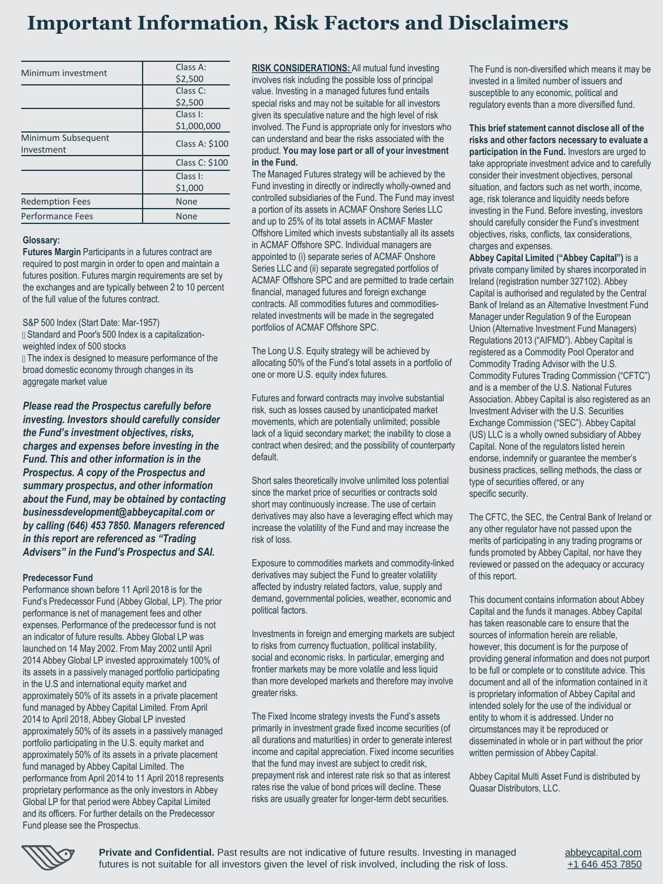# **Important Information, Risk Factors and Disclaimers**

| Minimum investment     | Class A:              |  |  |
|------------------------|-----------------------|--|--|
|                        | \$2,500               |  |  |
|                        | Class C:              |  |  |
|                        | \$2,500               |  |  |
|                        | Class I:              |  |  |
|                        | \$1,000,000           |  |  |
| Minimum Subsequent     | <b>Class A: \$100</b> |  |  |
| Investment             |                       |  |  |
|                        | Class C: \$100        |  |  |
|                        | Class I:              |  |  |
|                        | \$1,000               |  |  |
| <b>Redemption Fees</b> | <b>None</b>           |  |  |
| Performance Fees       | <b>None</b>           |  |  |

#### **Glossary:**

**Futures Margin** Participants in a futures contract are required to post margin in order to open and maintain a futures position. Futures margin requirements are set by the exchanges and are typically between 2 to 10 percent of the full value of the futures contract.

S&P 500 Index (Start Date: Mar-1957)

Standard and Poor's 500 Index is a capitalizationweighted index of 500 stocks

**If** The index is designed to measure performance of the broad domestic economy through changes in its aggregate market value

*Please read the Prospectus carefully before investing. Investors should carefully consider the Fund's investment objectives, risks, charges and expenses before investing in the Fund. This and other information is in the Prospectus. A copy of the Prospectus and summary prospectus, and other information about the Fund, may be obtained by contacting businessdevelopment@abbeycapital.com or by calling (646) 453 7850. Managers referenced in this report are referenced as "Trading Advisers" in the Fund's Prospectus and SAI.*

#### **Predecessor Fund**

Performance shown before 11 April 2018 is for the Fund's Predecessor Fund (Abbey Global, LP). The prior performance is net of management fees and other expenses. Performance of the predecessor fund is not an indicator of future results. Abbey Global LP was launched on 14 May 2002. From May 2002 until April 2014 Abbey Global LP invested approximately 100% of its assets in a passively managed portfolio participating in the U.S and international equity market and approximately 50% of its assets in a private placement fund managed by Abbey Capital Limited. From April 2014 to April 2018, Abbey Global LP invested approximately 50% of its assets in a passively managed portfolio participating in the U.S. equity market and approximately 50% of its assets in a private placement fund managed by Abbey Capital Limited. The performance from April 2014 to 11 April 2018 represents proprietary performance as the only investors in Abbey Global LP for that period were Abbey Capital Limited and its officers. For further details on the Predecessor Fund please see the Prospectus.

**RISK CONSIDERATIONS:** All mutual fund investing involves risk including the possible loss of principal value. Investing in a managed futures fund entails special risks and may not be suitable for all investors given its speculative nature and the high level of risk involved. The Fund is appropriate only for investors who can understand and bear the risks associated with the product. **You may lose part or all of your investment in the Fund.** 

The Managed Futures strategy will be achieved by the Fund investing in directly or indirectly wholly-owned and controlled subsidiaries of the Fund. The Fund may invest a portion of its assets in ACMAF Onshore Series LLC and up to 25% of its total assets in ACMAF Master Offshore Limited which invests substantially all its assets in ACMAF Offshore SPC. Individual managers are appointed to (i) separate series of ACMAF Onshore Series LLC and (ii) separate segregated portfolios of ACMAF Offshore SPC and are permitted to trade certain financial, managed futures and foreign exchange contracts. All commodities futures and commoditiesrelated investments will be made in the segregated portfolios of ACMAF Offshore SPC.

The Long U.S. Equity strategy will be achieved by allocating 50% of the Fund's total assets in a portfolio of one or more U.S. equity index futures.

Futures and forward contracts may involve substantial risk, such as losses caused by unanticipated market movements, which are potentially unlimited; possible lack of a liquid secondary market; the inability to close a contract when desired; and the possibility of counterparty default.

Short sales theoretically involve unlimited loss potential since the market price of securities or contracts sold short may continuously increase. The use of certain derivatives may also have a leveraging effect which may increase the volatility of the Fund and may increase the risk of loss.

Exposure to commodities markets and commodity-linked derivatives may subject the Fund to greater volatility affected by industry related factors, value, supply and demand, governmental policies, weather, economic and political factors.

Investments in foreign and emerging markets are subject to risks from currency fluctuation, political instability, social and economic risks. In particular, emerging and frontier markets may be more volatile and less liquid than more developed markets and therefore may involve greater risks.

The Fixed Income strategy invests the Fund's assets primarily in investment grade fixed income securities (of all durations and maturities) in order to generate interest income and capital appreciation. Fixed income securities that the fund may invest are subject to credit risk, prepayment risk and interest rate risk so that as interest rates rise the value of bond prices will decline. These risks are usually greater for longer-term debt securities.

The Fund is non-diversified which means it may be invested in a limited number of issuers and susceptible to any economic, political and regulatory events than a more diversified fund.

**This brief statement cannot disclose all of the risks and other factors necessary to evaluate a participation in the Fund.** Investors are urged to take appropriate investment advice and to carefully consider their investment objectives, personal situation, and factors such as net worth, income, age, risk tolerance and liquidity needs before investing in the Fund. Before investing, investors should carefully consider the Fund's investment objectives, risks, conflicts, tax considerations, charges and expenses.

**Abbey Capital Limited ("Abbey Capital")** is a private company limited by shares incorporated in Ireland (registration number 327102). Abbey Capital is authorised and regulated by the Central Bank of Ireland as an Alternative Investment Fund Manager under Regulation 9 of the European Union (Alternative Investment Fund Managers) Regulations 2013 ("AIFMD"). Abbey Capital is registered as a Commodity Pool Operator and Commodity Trading Advisor with the U.S. Commodity Futures Trading Commission ("CFTC") and is a member of the U.S. National Futures Association. Abbey Capital is also registered as an Investment Adviser with the U.S. Securities Exchange Commission ("SEC"). Abbey Capital (US) LLC is a wholly owned subsidiary of Abbey Capital. None of the regulators listed herein endorse, indemnify or guarantee the member's business practices, selling methods, the class or type of securities offered, or any specific security.

The CFTC, the SEC, the Central Bank of Ireland or any other regulator have not passed upon the merits of participating in any trading programs or funds promoted by Abbey Capital, nor have they reviewed or passed on the adequacy or accuracy of this report.

This document contains information about Abbey Capital and the funds it manages. Abbey Capital has taken reasonable care to ensure that the sources of information herein are reliable, however, this document is for the purpose of providing general information and does not purport to be full or complete or to constitute advice. This document and all of the information contained in it is proprietary information of Abbey Capital and intended solely for the use of the individual or entity to whom it is addressed. Under no circumstances may it be reproduced or disseminated in whole or in part without the prior written permission of Abbey Capital.

Abbey Capital Multi Asset Fund is distributed by Quasar Distributors, LLC.